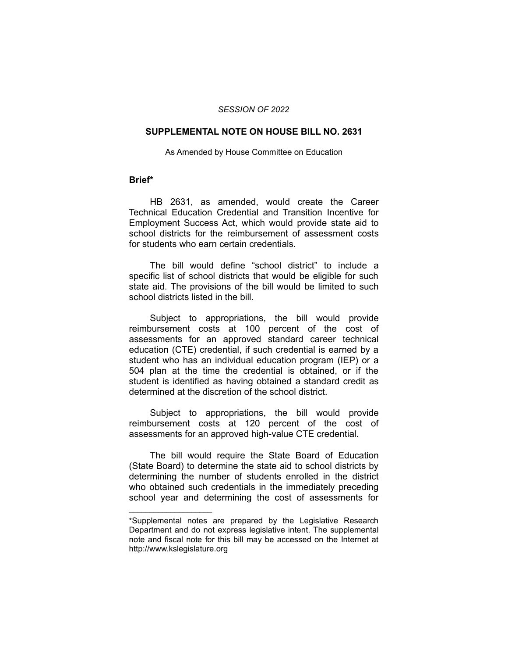### *SESSION OF 2022*

### **SUPPLEMENTAL NOTE ON HOUSE BILL NO. 2631**

#### As Amended by House Committee on Education

## **Brief\***

HB 2631, as amended, would create the Career Technical Education Credential and Transition Incentive for Employment Success Act, which would provide state aid to school districts for the reimbursement of assessment costs for students who earn certain credentials.

The bill would define "school district" to include a specific list of school districts that would be eligible for such state aid. The provisions of the bill would be limited to such school districts listed in the bill.

Subject to appropriations, the bill would provide reimbursement costs at 100 percent of the cost of assessments for an approved standard career technical education (CTE) credential, if such credential is earned by a student who has an individual education program (IEP) or a 504 plan at the time the credential is obtained, or if the student is identified as having obtained a standard credit as determined at the discretion of the school district.

Subject to appropriations, the bill would provide reimbursement costs at 120 percent of the cost of assessments for an approved high-value CTE credential.

The bill would require the State Board of Education (State Board) to determine the state aid to school districts by determining the number of students enrolled in the district who obtained such credentials in the immediately preceding school year and determining the cost of assessments for

 $\overline{\phantom{a}}$  , where  $\overline{\phantom{a}}$  , where  $\overline{\phantom{a}}$ 

<sup>\*</sup>Supplemental notes are prepared by the Legislative Research Department and do not express legislative intent. The supplemental note and fiscal note for this bill may be accessed on the Internet at http://www.kslegislature.org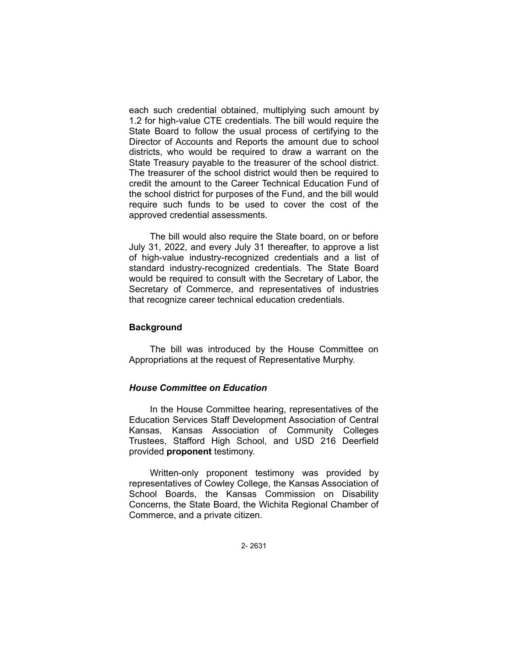each such credential obtained, multiplying such amount by 1.2 for high-value CTE credentials. The bill would require the State Board to follow the usual process of certifying to the Director of Accounts and Reports the amount due to school districts, who would be required to draw a warrant on the State Treasury payable to the treasurer of the school district. The treasurer of the school district would then be required to credit the amount to the Career Technical Education Fund of the school district for purposes of the Fund, and the bill would require such funds to be used to cover the cost of the approved credential assessments.

The bill would also require the State board, on or before July 31, 2022, and every July 31 thereafter, to approve a list of high-value industry-recognized credentials and a list of standard industry-recognized credentials. The State Board would be required to consult with the Secretary of Labor, the Secretary of Commerce, and representatives of industries that recognize career technical education credentials.

## **Background**

The bill was introduced by the House Committee on Appropriations at the request of Representative Murphy.

# *House Committee on Education*

In the House Committee hearing, representatives of the Education Services Staff Development Association of Central Kansas, Kansas Association of Community Colleges Trustees, Stafford High School, and USD 216 Deerfield provided **proponent** testimony.

Written-only proponent testimony was provided by representatives of Cowley College, the Kansas Association of School Boards, the Kansas Commission on Disability Concerns, the State Board, the Wichita Regional Chamber of Commerce, and a private citizen.